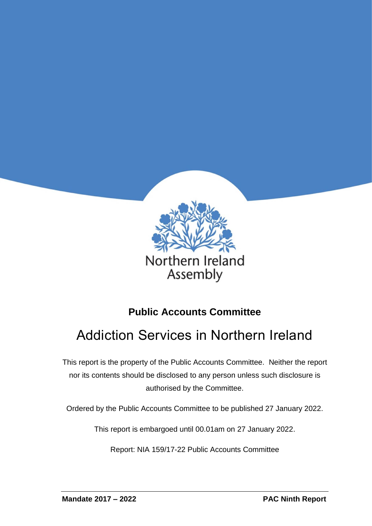

# **Public Accounts Committee**

# Addiction Services in Northern Ireland

This report is the property of the Public Accounts Committee. Neither the report nor its contents should be disclosed to any person unless such disclosure is authorised by the Committee.

Ordered by the Public Accounts Committee to be published 27 January 2022.

This report is embargoed until 00.01am on 27 January 2022.

Report: NIA 159/17-22 Public Accounts Committee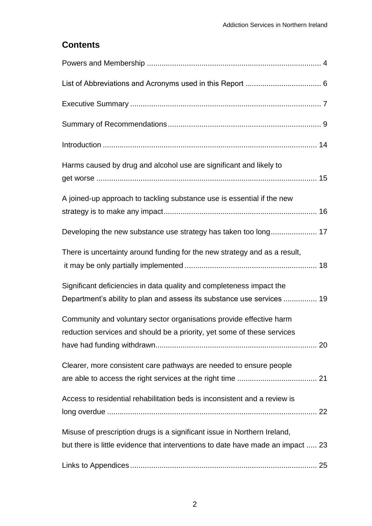#### **Contents**

| Harms caused by drug and alcohol use are significant and likely to                                                                                          |
|-------------------------------------------------------------------------------------------------------------------------------------------------------------|
| A joined-up approach to tackling substance use is essential if the new                                                                                      |
|                                                                                                                                                             |
| There is uncertainty around funding for the new strategy and as a result,                                                                                   |
| Significant deficiencies in data quality and completeness impact the<br>Department's ability to plan and assess its substance use services  19              |
| Community and voluntary sector organisations provide effective harm<br>reduction services and should be a priority, yet some of these services              |
| Clearer, more consistent care pathways are needed to ensure people                                                                                          |
| Access to residential rehabilitation beds is inconsistent and a review is                                                                                   |
| Misuse of prescription drugs is a significant issue in Northern Ireland,<br>but there is little evidence that interventions to date have made an impact  23 |
|                                                                                                                                                             |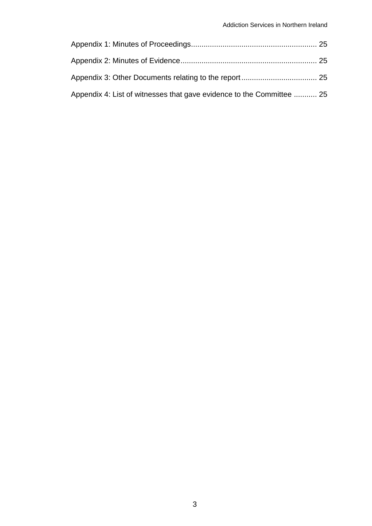| Appendix 4: List of witnesses that gave evidence to the Committee  25 |  |
|-----------------------------------------------------------------------|--|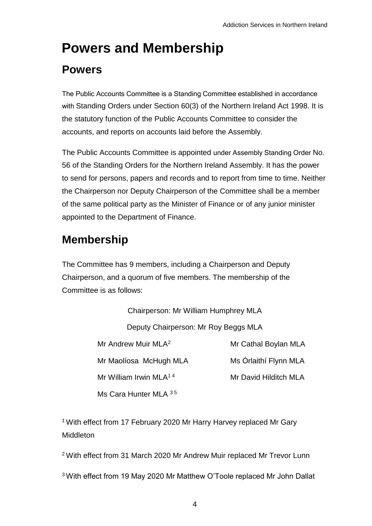# <span id="page-3-0"></span>**Powers and Membership**

# **Powers**

The Public Accounts Committee is a Standing Committee established in accordance with Standing Orders under Section 60(3) of the Northern Ireland Act 1998. It is the statutory function of the Public Accounts Committee to consider the accounts, and reports on accounts laid before the Assembly.

The Public Accounts Committee is appointed under Assembly Standing Order No. 56 of the Standing Orders for the Northern Ireland Assembly. It has the power to send for persons, papers and records and to report from time to time. Neither the Chairperson nor Deputy Chairperson of the Committee shall be a member of the same political party as the Minister of Finance or of any junior minister appointed to the Department of Finance.

# **Membership**

The Committee has 9 members, including a Chairperson and Deputy Chairperson, and a quorum of five members. The membership of the Committee is as follows:

> Chairperson: Mr William Humphrey MLA Deputy Chairperson: Mr Roy Beggs MLA Mr Andrew Muir MLA<sup>2</sup> Mr Cathal Boylan MLA Mr Maolíosa McHugh MLA Ms Órlaithí Flynn MLA Mr William Irwin MLA<sup>14</sup> Mr David Hilditch MLA Ms Cara Hunter MI A 35

<sup>1</sup> With effect from 17 February 2020 Mr Harry Harvey replaced Mr Gary Middleton

<sup>2</sup>With effect from 31 March 2020 Mr Andrew Muir replaced Mr Trevor Lunn

3 With effect from 19 May 2020 Mr Matthew O'Toole replaced Mr John Dallat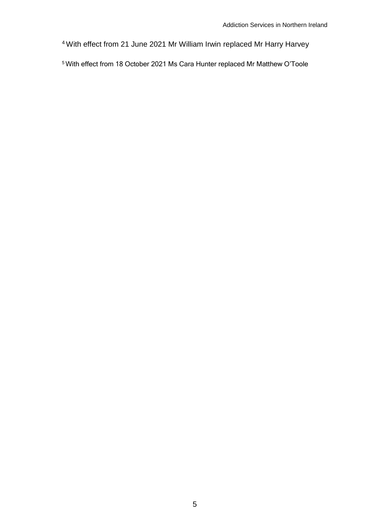With effect from 21 June 2021 Mr William Irwin replaced Mr Harry Harvey

With effect from 18 October 2021 Ms Cara Hunter replaced Mr Matthew O'Toole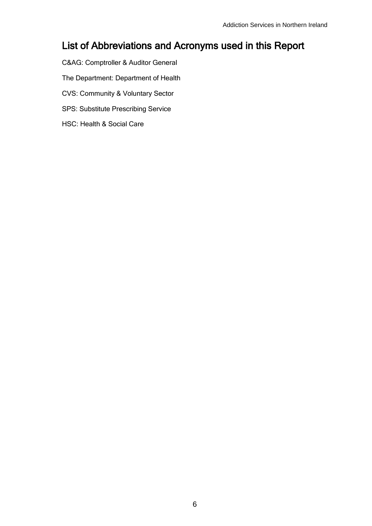### <span id="page-5-0"></span>List of Abbreviations and Acronyms used in this Report

- C&AG: Comptroller & Auditor General
- The Department: Department of Health
- CVS: Community & Voluntary Sector
- SPS: Substitute Prescribing Service
- HSC: Health & Social Care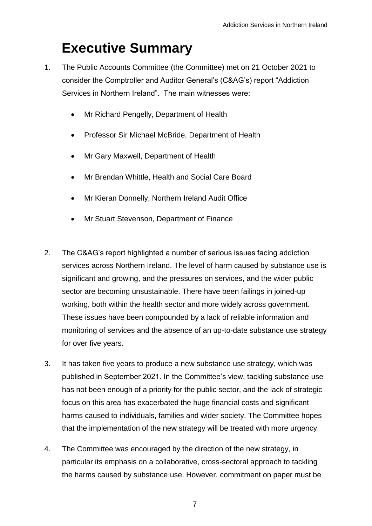# <span id="page-6-0"></span>**Executive Summary**

- 1. The Public Accounts Committee (the Committee) met on 21 October 2021 to consider the Comptroller and Auditor General's (C&AG's) report "Addiction Services in Northern Ireland". The main witnesses were:
	- Mr Richard Pengelly, Department of Health
	- Professor Sir Michael McBride, Department of Health
	- Mr Gary Maxwell, Department of Health
	- Mr Brendan Whittle, Health and Social Care Board
	- Mr Kieran Donnelly, Northern Ireland Audit Office
	- Mr Stuart Stevenson, Department of Finance
- 2. The C&AG's report highlighted a number of serious issues facing addiction services across Northern Ireland. The level of harm caused by substance use is significant and growing, and the pressures on services, and the wider public sector are becoming unsustainable. There have been failings in joined-up working, both within the health sector and more widely across government. These issues have been compounded by a lack of reliable information and monitoring of services and the absence of an up-to-date substance use strategy for over five years.
- 3. It has taken five years to produce a new substance use strategy, which was published in September 2021. In the Committee's view, tackling substance use has not been enough of a priority for the public sector, and the lack of strategic focus on this area has exacerbated the huge financial costs and significant harms caused to individuals, families and wider society. The Committee hopes that the implementation of the new strategy will be treated with more urgency.
- 4. The Committee was encouraged by the direction of the new strategy, in particular its emphasis on a collaborative, cross-sectoral approach to tackling the harms caused by substance use. However, commitment on paper must be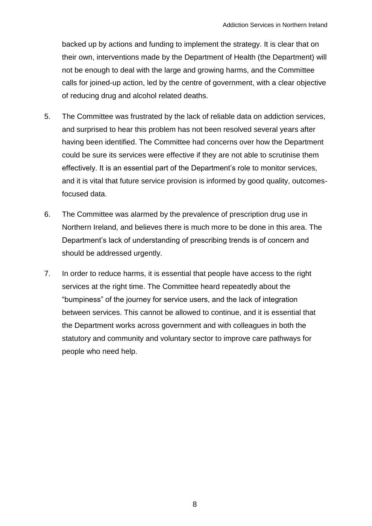backed up by actions and funding to implement the strategy. It is clear that on their own, interventions made by the Department of Health (the Department) will not be enough to deal with the large and growing harms, and the Committee calls for joined-up action, led by the centre of government, with a clear objective of reducing drug and alcohol related deaths.

- 5. The Committee was frustrated by the lack of reliable data on addiction services, and surprised to hear this problem has not been resolved several years after having been identified. The Committee had concerns over how the Department could be sure its services were effective if they are not able to scrutinise them effectively. It is an essential part of the Department's role to monitor services, and it is vital that future service provision is informed by good quality, outcomesfocused data.
- 6. The Committee was alarmed by the prevalence of prescription drug use in Northern Ireland, and believes there is much more to be done in this area. The Department's lack of understanding of prescribing trends is of concern and should be addressed urgently.
- 7. In order to reduce harms, it is essential that people have access to the right services at the right time. The Committee heard repeatedly about the "bumpiness" of the journey for service users, and the lack of integration between services. This cannot be allowed to continue, and it is essential that the Department works across government and with colleagues in both the statutory and community and voluntary sector to improve care pathways for people who need help.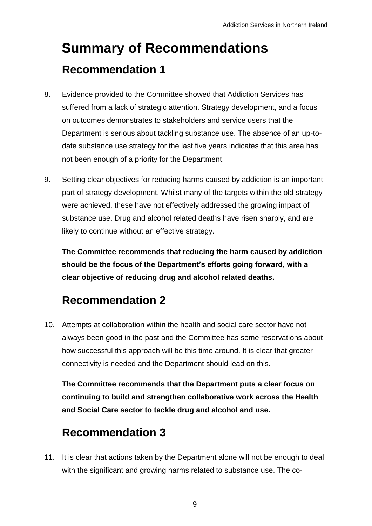# <span id="page-8-0"></span>**Summary of Recommendations Recommendation 1**

- 8. Evidence provided to the Committee showed that Addiction Services has suffered from a lack of strategic attention. Strategy development, and a focus on outcomes demonstrates to stakeholders and service users that the Department is serious about tackling substance use. The absence of an up-todate substance use strategy for the last five years indicates that this area has not been enough of a priority for the Department.
- 9. Setting clear objectives for reducing harms caused by addiction is an important part of strategy development. Whilst many of the targets within the old strategy were achieved, these have not effectively addressed the growing impact of substance use. Drug and alcohol related deaths have risen sharply, and are likely to continue without an effective strategy.

**The Committee recommends that reducing the harm caused by addiction should be the focus of the Department's efforts going forward, with a clear objective of reducing drug and alcohol related deaths.**

# **Recommendation 2**

10. Attempts at collaboration within the health and social care sector have not always been good in the past and the Committee has some reservations about how successful this approach will be this time around. It is clear that greater connectivity is needed and the Department should lead on this.

**The Committee recommends that the Department puts a clear focus on continuing to build and strengthen collaborative work across the Health and Social Care sector to tackle drug and alcohol and use.**

# **Recommendation 3**

11. It is clear that actions taken by the Department alone will not be enough to deal with the significant and growing harms related to substance use. The co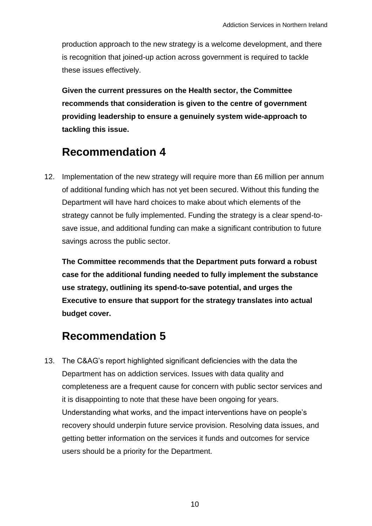production approach to the new strategy is a welcome development, and there is recognition that joined-up action across government is required to tackle these issues effectively.

**Given the current pressures on the Health sector, the Committee recommends that consideration is given to the centre of government providing leadership to ensure a genuinely system wide-approach to tackling this issue.**

# **Recommendation 4**

12. Implementation of the new strategy will require more than £6 million per annum of additional funding which has not yet been secured. Without this funding the Department will have hard choices to make about which elements of the strategy cannot be fully implemented. Funding the strategy is a clear spend-tosave issue, and additional funding can make a significant contribution to future savings across the public sector.

**The Committee recommends that the Department puts forward a robust case for the additional funding needed to fully implement the substance use strategy, outlining its spend-to-save potential, and urges the Executive to ensure that support for the strategy translates into actual budget cover.**

## **Recommendation 5**

13. The C&AG's report highlighted significant deficiencies with the data the Department has on addiction services. Issues with data quality and completeness are a frequent cause for concern with public sector services and it is disappointing to note that these have been ongoing for years. Understanding what works, and the impact interventions have on people's recovery should underpin future service provision. Resolving data issues, and getting better information on the services it funds and outcomes for service users should be a priority for the Department.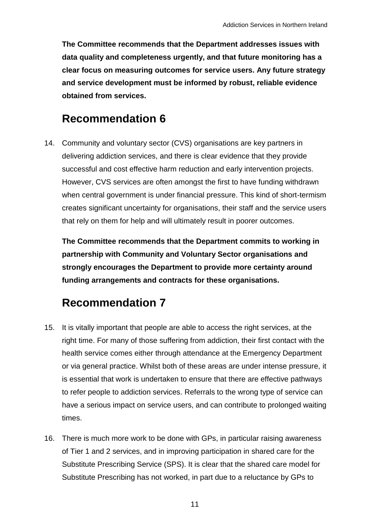**The Committee recommends that the Department addresses issues with data quality and completeness urgently, and that future monitoring has a clear focus on measuring outcomes for service users. Any future strategy and service development must be informed by robust, reliable evidence obtained from services.**

# **Recommendation 6**

14. Community and voluntary sector (CVS) organisations are key partners in delivering addiction services, and there is clear evidence that they provide successful and cost effective harm reduction and early intervention projects. However, CVS services are often amongst the first to have funding withdrawn when central government is under financial pressure. This kind of short-termism creates significant uncertainty for organisations, their staff and the service users that rely on them for help and will ultimately result in poorer outcomes.

**The Committee recommends that the Department commits to working in partnership with Community and Voluntary Sector organisations and strongly encourages the Department to provide more certainty around funding arrangements and contracts for these organisations.**

# **Recommendation 7**

- 15. It is vitally important that people are able to access the right services, at the right time. For many of those suffering from addiction, their first contact with the health service comes either through attendance at the Emergency Department or via general practice. Whilst both of these areas are under intense pressure, it is essential that work is undertaken to ensure that there are effective pathways to refer people to addiction services. Referrals to the wrong type of service can have a serious impact on service users, and can contribute to prolonged waiting times.
- 16. There is much more work to be done with GPs, in particular raising awareness of Tier 1 and 2 services, and in improving participation in shared care for the Substitute Prescribing Service (SPS). It is clear that the shared care model for Substitute Prescribing has not worked, in part due to a reluctance by GPs to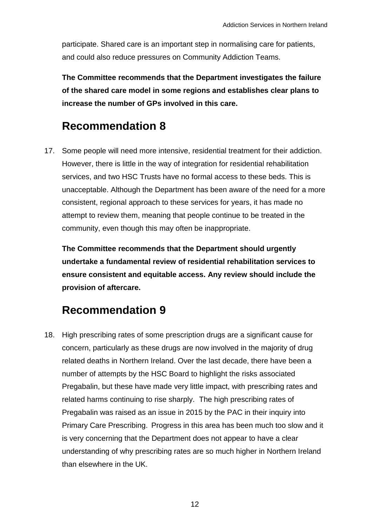participate. Shared care is an important step in normalising care for patients, and could also reduce pressures on Community Addiction Teams.

**The Committee recommends that the Department investigates the failure of the shared care model in some regions and establishes clear plans to increase the number of GPs involved in this care.** 

### **Recommendation 8**

17. Some people will need more intensive, residential treatment for their addiction. However, there is little in the way of integration for residential rehabilitation services, and two HSC Trusts have no formal access to these beds. This is unacceptable. Although the Department has been aware of the need for a more consistent, regional approach to these services for years, it has made no attempt to review them, meaning that people continue to be treated in the community, even though this may often be inappropriate.

**The Committee recommends that the Department should urgently undertake a fundamental review of residential rehabilitation services to ensure consistent and equitable access. Any review should include the provision of aftercare.**

## **Recommendation 9**

18. High prescribing rates of some prescription drugs are a significant cause for concern, particularly as these drugs are now involved in the majority of drug related deaths in Northern Ireland. Over the last decade, there have been a number of attempts by the HSC Board to highlight the risks associated Pregabalin, but these have made very little impact, with prescribing rates and related harms continuing to rise sharply. The high prescribing rates of Pregabalin was raised as an issue in 2015 by the PAC in their inquiry into Primary Care Prescribing. Progress in this area has been much too slow and it is very concerning that the Department does not appear to have a clear understanding of why prescribing rates are so much higher in Northern Ireland than elsewhere in the UK.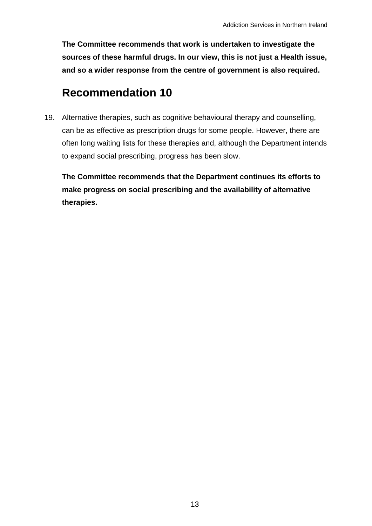**The Committee recommends that work is undertaken to investigate the sources of these harmful drugs. In our view, this is not just a Health issue, and so a wider response from the centre of government is also required.**

# **Recommendation 10**

19. Alternative therapies, such as cognitive behavioural therapy and counselling, can be as effective as prescription drugs for some people. However, there are often long waiting lists for these therapies and, although the Department intends to expand social prescribing, progress has been slow.

**The Committee recommends that the Department continues its efforts to make progress on social prescribing and the availability of alternative therapies.**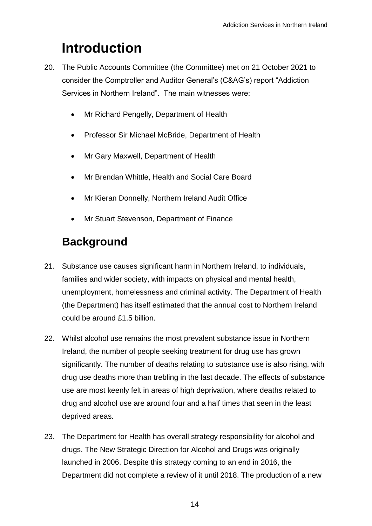# <span id="page-13-0"></span>**Introduction**

- 20. The Public Accounts Committee (the Committee) met on 21 October 2021 to consider the Comptroller and Auditor General's (C&AG's) report "Addiction Services in Northern Ireland". The main witnesses were:
	- Mr Richard Pengelly, Department of Health
	- Professor Sir Michael McBride, Department of Health
	- Mr Gary Maxwell, Department of Health
	- Mr Brendan Whittle, Health and Social Care Board
	- Mr Kieran Donnelly, Northern Ireland Audit Office
	- Mr Stuart Stevenson, Department of Finance

# **Background**

- 21. Substance use causes significant harm in Northern Ireland, to individuals, families and wider society, with impacts on physical and mental health, unemployment, homelessness and criminal activity. The Department of Health (the Department) has itself estimated that the annual cost to Northern Ireland could be around £1.5 billion.
- 22. Whilst alcohol use remains the most prevalent substance issue in Northern Ireland, the number of people seeking treatment for drug use has grown significantly. The number of deaths relating to substance use is also rising, with drug use deaths more than trebling in the last decade. The effects of substance use are most keenly felt in areas of high deprivation, where deaths related to drug and alcohol use are around four and a half times that seen in the least deprived areas.
- 23. The Department for Health has overall strategy responsibility for alcohol and drugs. The New Strategic Direction for Alcohol and Drugs was originally launched in 2006. Despite this strategy coming to an end in 2016, the Department did not complete a review of it until 2018. The production of a new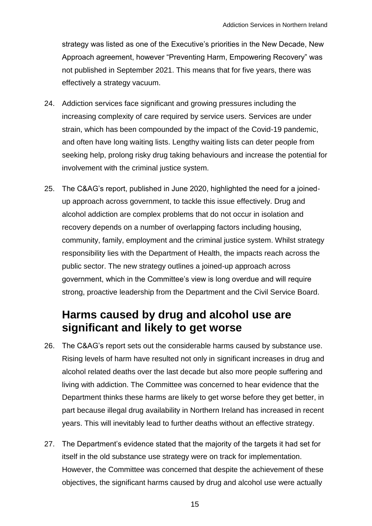strategy was listed as one of the Executive's priorities in the New Decade, New Approach agreement, however "Preventing Harm, Empowering Recovery" was not published in September 2021. This means that for five years, there was effectively a strategy vacuum.

- 24. Addiction services face significant and growing pressures including the increasing complexity of care required by service users. Services are under strain, which has been compounded by the impact of the Covid-19 pandemic, and often have long waiting lists. Lengthy waiting lists can deter people from seeking help, prolong risky drug taking behaviours and increase the potential for involvement with the criminal justice system.
- 25. The C&AG's report, published in June 2020, highlighted the need for a joinedup approach across government, to tackle this issue effectively. Drug and alcohol addiction are complex problems that do not occur in isolation and recovery depends on a number of overlapping factors including housing, community, family, employment and the criminal justice system. Whilst strategy responsibility lies with the Department of Health, the impacts reach across the public sector. The new strategy outlines a joined-up approach across government, which in the Committee's view is long overdue and will require strong, proactive leadership from the Department and the Civil Service Board.

## <span id="page-14-0"></span>**Harms caused by drug and alcohol use are significant and likely to get worse**

- 26. The C&AG's report sets out the considerable harms caused by substance use. Rising levels of harm have resulted not only in significant increases in drug and alcohol related deaths over the last decade but also more people suffering and living with addiction. The Committee was concerned to hear evidence that the Department thinks these harms are likely to get worse before they get better, in part because illegal drug availability in Northern Ireland has increased in recent years. This will inevitably lead to further deaths without an effective strategy.
- 27. The Department's evidence stated that the majority of the targets it had set for itself in the old substance use strategy were on track for implementation. However, the Committee was concerned that despite the achievement of these objectives, the significant harms caused by drug and alcohol use were actually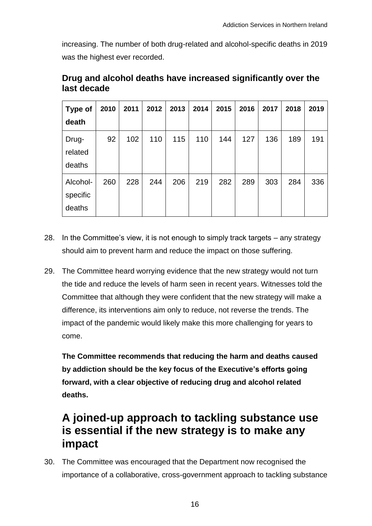increasing. The number of both drug-related and alcohol-specific deaths in 2019 was the highest ever recorded.

| <b>Type of</b><br>death        | 2010 | 2011 | 2012 | 2013 | 2014 | 2015 | 2016 | 2017 | 2018 | 2019 |
|--------------------------------|------|------|------|------|------|------|------|------|------|------|
| Drug-<br>related<br>deaths     | 92   | 102  | 110  | 115  | 110  | 144  | 127  | 136  | 189  | 191  |
| Alcohol-<br>specific<br>deaths | 260  | 228  | 244  | 206  | 219  | 282  | 289  | 303  | 284  | 336  |

#### **Drug and alcohol deaths have increased significantly over the last decade**

- 28. In the Committee's view, it is not enough to simply track targets any strategy should aim to prevent harm and reduce the impact on those suffering.
- 29. The Committee heard worrying evidence that the new strategy would not turn the tide and reduce the levels of harm seen in recent years. Witnesses told the Committee that although they were confident that the new strategy will make a difference, its interventions aim only to reduce, not reverse the trends. The impact of the pandemic would likely make this more challenging for years to come.

**The Committee recommends that reducing the harm and deaths caused by addiction should be the key focus of the Executive's efforts going forward, with a clear objective of reducing drug and alcohol related deaths.**

## <span id="page-15-0"></span>**A joined-up approach to tackling substance use is essential if the new strategy is to make any impact**

30. The Committee was encouraged that the Department now recognised the importance of a collaborative, cross-government approach to tackling substance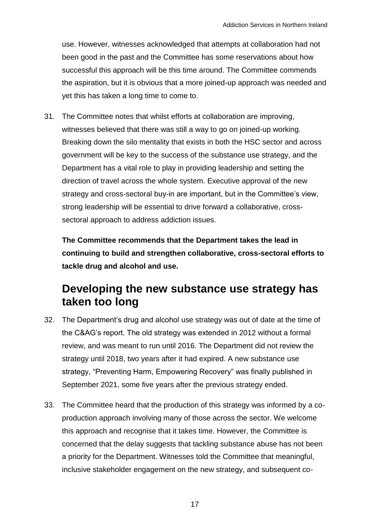use. However, witnesses acknowledged that attempts at collaboration had not been good in the past and the Committee has some reservations about how successful this approach will be this time around. The Committee commends the aspiration, but it is obvious that a more joined-up approach was needed and yet this has taken a long time to come to.

31. The Committee notes that whilst efforts at collaboration are improving, witnesses believed that there was still a way to go on joined-up working. Breaking down the silo mentality that exists in both the HSC sector and across government will be key to the success of the substance use strategy, and the Department has a vital role to play in providing leadership and setting the direction of travel across the whole system. Executive approval of the new strategy and cross-sectoral buy-in are important, but in the Committee's view, strong leadership will be essential to drive forward a collaborative, crosssectoral approach to address addiction issues.

**The Committee recommends that the Department takes the lead in continuing to build and strengthen collaborative, cross-sectoral efforts to tackle drug and alcohol and use.**

# <span id="page-16-0"></span>**Developing the new substance use strategy has taken too long**

- 32. The Department's drug and alcohol use strategy was out of date at the time of the C&AG's report. The old strategy was extended in 2012 without a formal review, and was meant to run until 2016. The Department did not review the strategy until 2018, two years after it had expired. A new substance use strategy, "Preventing Harm, Empowering Recovery" was finally published in September 2021, some five years after the previous strategy ended.
- 33. The Committee heard that the production of this strategy was informed by a coproduction approach involving many of those across the sector. We welcome this approach and recognise that it takes time. However, the Committee is concerned that the delay suggests that tackling substance abuse has not been a priority for the Department. Witnesses told the Committee that meaningful, inclusive stakeholder engagement on the new strategy, and subsequent co-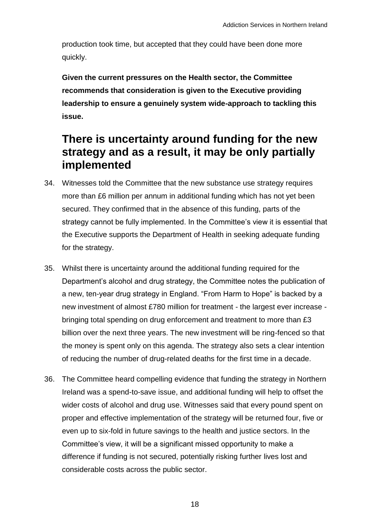production took time, but accepted that they could have been done more quickly.

**Given the current pressures on the Health sector, the Committee recommends that consideration is given to the Executive providing leadership to ensure a genuinely system wide-approach to tackling this issue.**

# <span id="page-17-0"></span>**There is uncertainty around funding for the new strategy and as a result, it may be only partially implemented**

- 34. Witnesses told the Committee that the new substance use strategy requires more than £6 million per annum in additional funding which has not yet been secured. They confirmed that in the absence of this funding, parts of the strategy cannot be fully implemented. In the Committee's view it is essential that the Executive supports the Department of Health in seeking adequate funding for the strategy.
- 35. Whilst there is uncertainty around the additional funding required for the Department's alcohol and drug strategy, the Committee notes the publication of a new, ten-year drug strategy in England. "From Harm to Hope" is backed by a new investment of almost £780 million for treatment - the largest ever increase bringing total spending on drug enforcement and treatment to more than £3 billion over the next three years. The new investment will be ring-fenced so that the money is spent only on this agenda. The strategy also sets a clear intention of reducing the number of drug-related deaths for the first time in a decade.
- 36. The Committee heard compelling evidence that funding the strategy in Northern Ireland was a spend-to-save issue, and additional funding will help to offset the wider costs of alcohol and drug use. Witnesses said that every pound spent on proper and effective implementation of the strategy will be returned four, five or even up to six-fold in future savings to the health and justice sectors. In the Committee's view, it will be a significant missed opportunity to make a difference if funding is not secured, potentially risking further lives lost and considerable costs across the public sector.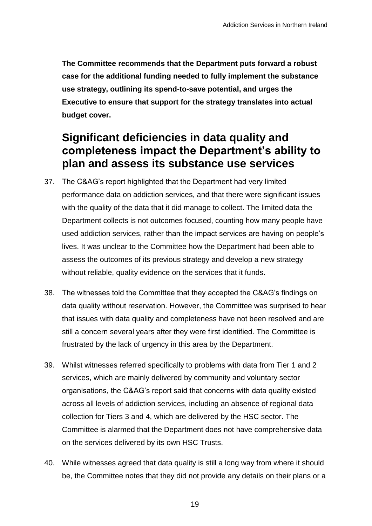**The Committee recommends that the Department puts forward a robust case for the additional funding needed to fully implement the substance use strategy, outlining its spend-to-save potential, and urges the Executive to ensure that support for the strategy translates into actual budget cover.**

# <span id="page-18-0"></span>**Significant deficiencies in data quality and completeness impact the Department's ability to plan and assess its substance use services**

- 37. The C&AG's report highlighted that the Department had very limited performance data on addiction services, and that there were significant issues with the quality of the data that it did manage to collect. The limited data the Department collects is not outcomes focused, counting how many people have used addiction services, rather than the impact services are having on people's lives. It was unclear to the Committee how the Department had been able to assess the outcomes of its previous strategy and develop a new strategy without reliable, quality evidence on the services that it funds.
- 38. The witnesses told the Committee that they accepted the C&AG's findings on data quality without reservation. However, the Committee was surprised to hear that issues with data quality and completeness have not been resolved and are still a concern several years after they were first identified. The Committee is frustrated by the lack of urgency in this area by the Department.
- 39. Whilst witnesses referred specifically to problems with data from Tier 1 and 2 services, which are mainly delivered by community and voluntary sector organisations, the C&AG's report said that concerns with data quality existed across all levels of addiction services, including an absence of regional data collection for Tiers 3 and 4, which are delivered by the HSC sector. The Committee is alarmed that the Department does not have comprehensive data on the services delivered by its own HSC Trusts.
- 40. While witnesses agreed that data quality is still a long way from where it should be, the Committee notes that they did not provide any details on their plans or a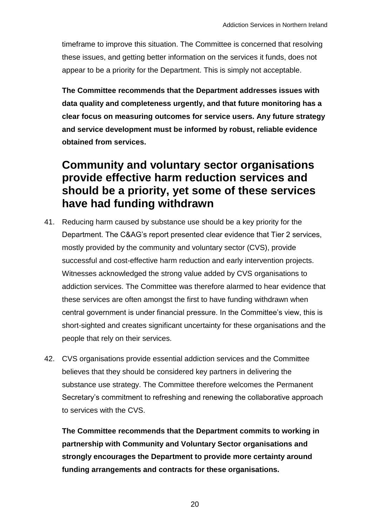timeframe to improve this situation. The Committee is concerned that resolving these issues, and getting better information on the services it funds, does not appear to be a priority for the Department. This is simply not acceptable.

**The Committee recommends that the Department addresses issues with data quality and completeness urgently, and that future monitoring has a clear focus on measuring outcomes for service users. Any future strategy and service development must be informed by robust, reliable evidence obtained from services.**

# <span id="page-19-0"></span>**Community and voluntary sector organisations provide effective harm reduction services and should be a priority, yet some of these services have had funding withdrawn**

- 41. Reducing harm caused by substance use should be a key priority for the Department. The C&AG's report presented clear evidence that Tier 2 services, mostly provided by the community and voluntary sector (CVS), provide successful and cost-effective harm reduction and early intervention projects. Witnesses acknowledged the strong value added by CVS organisations to addiction services. The Committee was therefore alarmed to hear evidence that these services are often amongst the first to have funding withdrawn when central government is under financial pressure. In the Committee's view, this is short-sighted and creates significant uncertainty for these organisations and the people that rely on their services.
- 42. CVS organisations provide essential addiction services and the Committee believes that they should be considered key partners in delivering the substance use strategy. The Committee therefore welcomes the Permanent Secretary's commitment to refreshing and renewing the collaborative approach to services with the CVS.

**The Committee recommends that the Department commits to working in partnership with Community and Voluntary Sector organisations and strongly encourages the Department to provide more certainty around funding arrangements and contracts for these organisations.**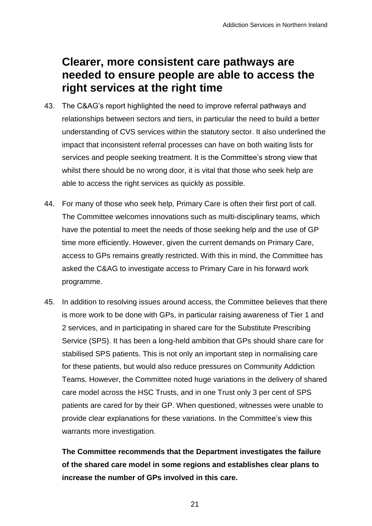# <span id="page-20-0"></span>**Clearer, more consistent care pathways are needed to ensure people are able to access the right services at the right time**

- 43. The C&AG's report highlighted the need to improve referral pathways and relationships between sectors and tiers, in particular the need to build a better understanding of CVS services within the statutory sector. It also underlined the impact that inconsistent referral processes can have on both waiting lists for services and people seeking treatment. It is the Committee's strong view that whilst there should be no wrong door, it is vital that those who seek help are able to access the right services as quickly as possible.
- 44. For many of those who seek help, Primary Care is often their first port of call. The Committee welcomes innovations such as multi-disciplinary teams, which have the potential to meet the needs of those seeking help and the use of GP time more efficiently. However, given the current demands on Primary Care, access to GPs remains greatly restricted. With this in mind, the Committee has asked the C&AG to investigate access to Primary Care in his forward work programme.
- 45. In addition to resolving issues around access, the Committee believes that there is more work to be done with GPs, in particular raising awareness of Tier 1 and 2 services, and in participating in shared care for the Substitute Prescribing Service (SPS). It has been a long-held ambition that GPs should share care for stabilised SPS patients. This is not only an important step in normalising care for these patients, but would also reduce pressures on Community Addiction Teams. However, the Committee noted huge variations in the delivery of shared care model across the HSC Trusts, and in one Trust only 3 per cent of SPS patients are cared for by their GP. When questioned, witnesses were unable to provide clear explanations for these variations. In the Committee's view this warrants more investigation.

**The Committee recommends that the Department investigates the failure of the shared care model in some regions and establishes clear plans to increase the number of GPs involved in this care.**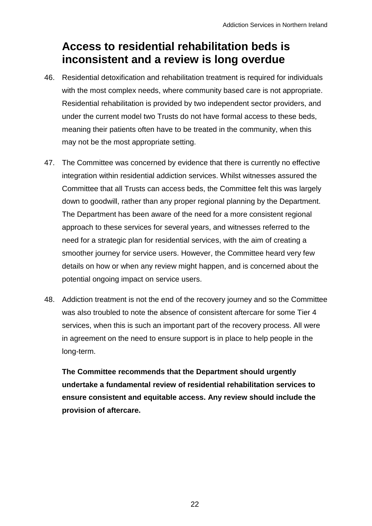# <span id="page-21-0"></span>**Access to residential rehabilitation beds is inconsistent and a review is long overdue**

- 46. Residential detoxification and rehabilitation treatment is required for individuals with the most complex needs, where community based care is not appropriate. Residential rehabilitation is provided by two independent sector providers, and under the current model two Trusts do not have formal access to these beds, meaning their patients often have to be treated in the community, when this may not be the most appropriate setting.
- 47. The Committee was concerned by evidence that there is currently no effective integration within residential addiction services. Whilst witnesses assured the Committee that all Trusts can access beds, the Committee felt this was largely down to goodwill, rather than any proper regional planning by the Department. The Department has been aware of the need for a more consistent regional approach to these services for several years, and witnesses referred to the need for a strategic plan for residential services, with the aim of creating a smoother journey for service users. However, the Committee heard very few details on how or when any review might happen, and is concerned about the potential ongoing impact on service users.
- 48. Addiction treatment is not the end of the recovery journey and so the Committee was also troubled to note the absence of consistent aftercare for some Tier 4 services, when this is such an important part of the recovery process. All were in agreement on the need to ensure support is in place to help people in the long-term.

**The Committee recommends that the Department should urgently undertake a fundamental review of residential rehabilitation services to ensure consistent and equitable access. Any review should include the provision of aftercare.**

22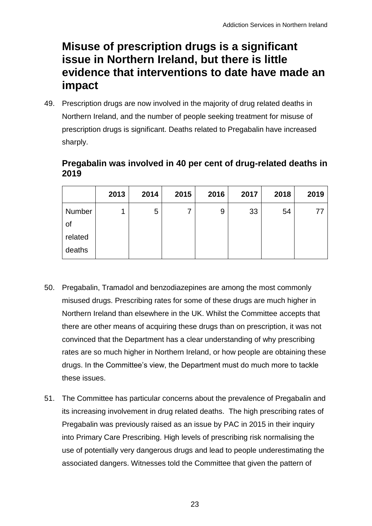# <span id="page-22-0"></span>**Misuse of prescription drugs is a significant issue in Northern Ireland, but there is little evidence that interventions to date have made an impact**

49. Prescription drugs are now involved in the majority of drug related deaths in Northern Ireland, and the number of people seeking treatment for misuse of prescription drugs is significant. Deaths related to Pregabalin have increased sharply.

#### **Pregabalin was involved in 40 per cent of drug-related deaths in 2019**

|         | 2013 | 2014 | 2015 | 2016 | 2017 | 2018 | 2019 |
|---------|------|------|------|------|------|------|------|
| Number  |      | 5    |      | 9    | 33   | 54   | 77   |
| 0t      |      |      |      |      |      |      |      |
| related |      |      |      |      |      |      |      |
| deaths  |      |      |      |      |      |      |      |

- 50. Pregabalin, Tramadol and benzodiazepines are among the most commonly misused drugs. Prescribing rates for some of these drugs are much higher in Northern Ireland than elsewhere in the UK. Whilst the Committee accepts that there are other means of acquiring these drugs than on prescription, it was not convinced that the Department has a clear understanding of why prescribing rates are so much higher in Northern Ireland, or how people are obtaining these drugs. In the Committee's view, the Department must do much more to tackle these issues.
- 51. The Committee has particular concerns about the prevalence of Pregabalin and its increasing involvement in drug related deaths. The high prescribing rates of Pregabalin was previously raised as an issue by PAC in 2015 in their inquiry into Primary Care Prescribing. High levels of prescribing risk normalising the use of potentially very dangerous drugs and lead to people underestimating the associated dangers. Witnesses told the Committee that given the pattern of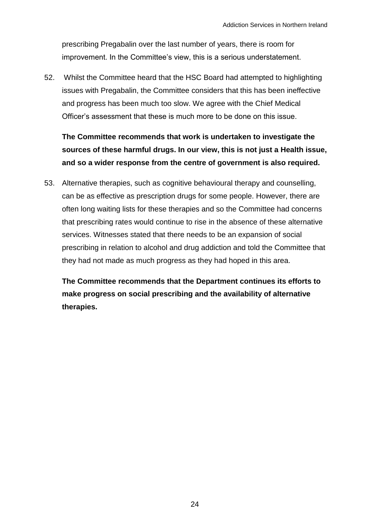prescribing Pregabalin over the last number of years, there is room for improvement. In the Committee's view, this is a serious understatement.

52. Whilst the Committee heard that the HSC Board had attempted to highlighting issues with Pregabalin, the Committee considers that this has been ineffective and progress has been much too slow. We agree with the Chief Medical Officer's assessment that these is much more to be done on this issue.

**The Committee recommends that work is undertaken to investigate the sources of these harmful drugs. In our view, this is not just a Health issue, and so a wider response from the centre of government is also required.**

53. Alternative therapies, such as cognitive behavioural therapy and counselling, can be as effective as prescription drugs for some people. However, there are often long waiting lists for these therapies and so the Committee had concerns that prescribing rates would continue to rise in the absence of these alternative services. Witnesses stated that there needs to be an expansion of social prescribing in relation to alcohol and drug addiction and told the Committee that they had not made as much progress as they had hoped in this area.

**The Committee recommends that the Department continues its efforts to make progress on social prescribing and the availability of alternative therapies.**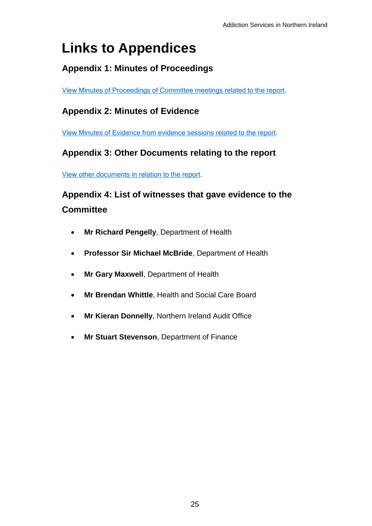# <span id="page-24-0"></span>**Links to Appendices**

#### <span id="page-24-1"></span>**Appendix 1: Minutes of Proceedings**

[View Minutes of Proceedings of Committee meetings related to the report](http://www.niassembly.gov.uk/assembly-business/committees/2017-2022/public-accounts-committee/inquiries/addiction-services/minutes-of-proceedings/).

#### <span id="page-24-2"></span>**Appendix 2: Minutes of Evidence**

[View Minutes of Evidence from evidence sessions related to the report.](http://www.niassembly.gov.uk/assembly-business/committees/2017-2022/public-accounts-committee/inquiries/addiction-services/minutes-of-evidence/)

#### <span id="page-24-3"></span>**Appendix 3: Other Documents relating to the report**

[View other documents in relation to the report.](http://www.niassembly.gov.uk/assembly-business/committees/2017-2022/public-accounts-committee/inquiries/addiction-services/other-papers/)

### <span id="page-24-4"></span>**Appendix 4: List of witnesses that gave evidence to the Committee**

- **Mr Richard Pengelly**, Department of Health
- **Professor Sir Michael McBride**, Department of Health
- **Mr Gary Maxwell**, Department of Health
- **Mr Brendan Whittle**, Health and Social Care Board
- **Mr Kieran Donnelly**, Northern Ireland Audit Office
- **Mr Stuart Stevenson**, Department of Finance